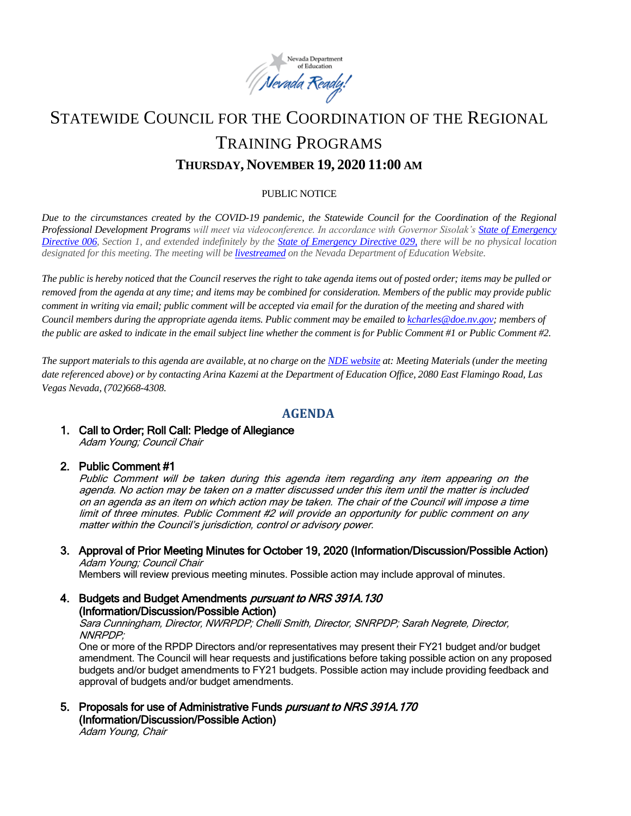

# STATEWIDE COUNCIL FOR THE COORDINATION OF THE REGIONAL TRAINING PROGRAMS **THURSDAY, NOVEMBER 19, 2020 11:00 AM**

#### PUBLIC NOTICE

*Due to the circumstances created by the COVID-19 pandemic, the Statewide Council for the Coordination of the Regional Professional Development Programs will meet via videoconference. In accordance with Governor Sisolak's [State of Emergency](http://gov.nv.gov/News/Emergency_Orders/2020/2020-03-22_-_COVID-19_Declaration_of_Emergency_Directive_006/)  [Directive 006,](http://gov.nv.gov/News/Emergency_Orders/2020/2020-03-22_-_COVID-19_Declaration_of_Emergency_Directive_006/) Section 1, and extended indefinitely by the [State of Emergency Directive 029,](http://gov.nv.gov/News/Emergency_Orders/2020/2020-06-29_-_COVID-19_Declaration_of_Emergency_Directive_026/) there will be no physical location designated for this meeting. The meeting will be [livestreamed](http://www.doe.nv.gov/Boards_Commissions_Councils/Statewide_Council_Reg_Training/Meeting_Materials/) on the Nevada Department of Education Website.* 

*The public is hereby noticed that the Council reserves the right to take agenda items out of posted order; items may be pulled or removed from the agenda at any time; and items may be combined for consideration. Members of the public may provide public comment in writing via email; public comment will be accepted via email for the duration of the meeting and shared with Council members during the appropriate agenda items. Public comment may be emailed t[o kcharles@doe.nv.gov;](mailto:kcharles@doe.nv.gov)* members of *the public are asked to indicate in the email subject line whether the comment is for Public Comment #1 or Public Comment #2.*

*The support materials to this agenda are available, at no charge on the [NDE website](http://www.doe.nv.gov/Boards_Commissions_Councils/Statewide_Council_Reg_Training/Meeting_Materials/) at: Meeting Materials (under the meeting date referenced above) or by contacting Arina Kazemi at the Department of Education Office, 2080 East Flamingo Road, Las Vegas Nevada, (702)668-4308.* 

# **AGENDA**

# 1. Call to Order; Roll Call: Pledge of Allegiance

Adam Young; Council Chair

#### 2. Public Comment #1

Public Comment will be taken during this agenda item regarding any item appearing on the agenda. No action may be taken on a matter discussed under this item until the matter is included on an agenda as an item on which action may be taken. The chair of the Council will impose a time limit of three minutes. Public Comment #2 will provide an opportunity for public comment on any matter within the Council's jurisdiction, control or advisory power.

3. Approval of Prior Meeting Minutes for October 19, 2020 (Information/Discussion/Possible Action) Adam Young; Council Chair

Members will review previous meeting minutes. Possible action may include approval of minutes.

4. Budgets and Budget Amendments *pursuant to NRS 391A.130* (Information/Discussion/Possible Action)

Sara Cunningham, Director, NWRPDP; Chelli Smith, Director, SNRPDP; Sarah Negrete, Director, NNRPDP;

One or more of the RPDP Directors and/or representatives may present their FY21 budget and/or budget amendment. The Council will hear requests and justifications before taking possible action on any proposed budgets and/or budget amendments to FY21 budgets. Possible action may include providing feedback and approval of budgets and/or budget amendments.

5. Proposals for use of Administrative Funds *pursuant to NRS 391A.170* (Information/Discussion/Possible Action)

Adam Young, Chair